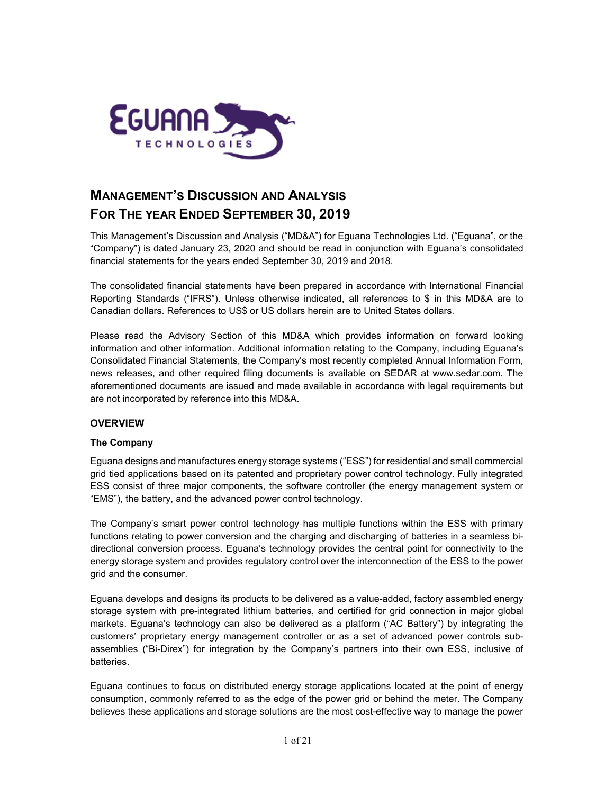

# **MANAGEMENT'S DISCUSSION AND ANALYSIS FOR THE YEAR ENDED SEPTEMBER 30, 2019**

This Management's Discussion and Analysis ("MD&A") for Eguana Technologies Ltd. ("Eguana", or the "Company") is dated January 23, 2020 and should be read in conjunction with Eguana's consolidated financial statements for the years ended September 30, 2019 and 2018.

The consolidated financial statements have been prepared in accordance with International Financial Reporting Standards ("IFRS"). Unless otherwise indicated, all references to \$ in this MD&A are to Canadian dollars. References to US\$ or US dollars herein are to United States dollars.

Please read the Advisory Section of this MD&A which provides information on forward looking information and other information. Additional information relating to the Company, including Eguana's Consolidated Financial Statements, the Company's most recently completed Annual Information Form, news releases, and other required filing documents is available on SEDAR at [www.sedar.com.](http://www.sedar.com/) The aforementioned documents are issued and made available in accordance with legal requirements but are not incorporated by reference into this MD&A.

# **OVERVIEW**

# **The Company**

Eguana designs and manufactures energy storage systems ("ESS") for residential and small commercial grid tied applications based on its patented and proprietary power control technology. Fully integrated ESS consist of three major components, the software controller (the energy management system or "EMS"), the battery, and the advanced power control technology.

The Company's smart power control technology has multiple functions within the ESS with primary functions relating to power conversion and the charging and discharging of batteries in a seamless bidirectional conversion process. Eguana's technology provides the central point for connectivity to the energy storage system and provides regulatory control over the interconnection of the ESS to the power grid and the consumer.

Eguana develops and designs its products to be delivered as a value-added, factory assembled energy storage system with pre-integrated lithium batteries, and certified for grid connection in major global markets. Eguana's technology can also be delivered as a platform ("AC Battery") by integrating the customers' proprietary energy management controller or as a set of advanced power controls subassemblies ("Bi-Direx") for integration by the Company's partners into their own ESS, inclusive of batteries.

Eguana continues to focus on distributed energy storage applications located at the point of energy consumption, commonly referred to as the edge of the power grid or behind the meter. The Company believes these applications and storage solutions are the most cost-effective way to manage the power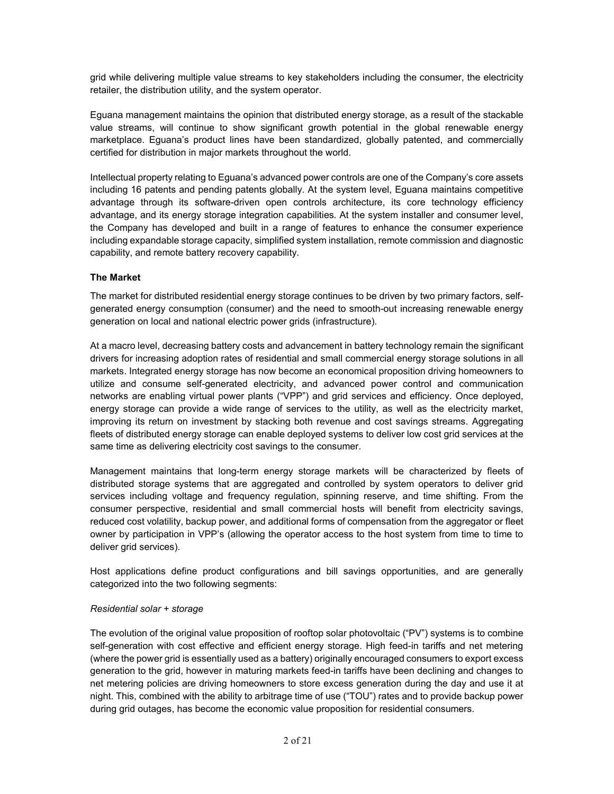grid while delivering multiple value streams to key stakeholders including the consumer, the electricity retailer, the distribution utility, and the system operator.

Eguana management maintains the opinion that distributed energy storage, as a result of the stackable value streams, will continue to show significant growth potential in the global renewable energy marketplace. Eguana's product lines have been standardized, globally patented, and commercially certified for distribution in major markets throughout the world.

Intellectual property relating to Eguana's advanced power controls are one of the Company's core assets including 16 patents and pending patents globally. At the system level, Eguana maintains competitive advantage through its software-driven open controls architecture, its core technology efficiency advantage, and its energy storage integration capabilities. At the system installer and consumer level, the Company has developed and built in a range of features to enhance the consumer experience including expandable storage capacity, simplified system installation, remote commission and diagnostic capability, and remote battery recovery capability.

# **The Market**

The market for distributed residential energy storage continues to be driven by two primary factors, selfgenerated energy consumption (consumer) and the need to smooth-out increasing renewable energy generation on local and national electric power grids (infrastructure).

At a macro level, decreasing battery costs and advancement in battery technology remain the significant drivers for increasing adoption rates of residential and small commercial energy storage solutions in all markets. Integrated energy storage has now become an economical proposition driving homeowners to utilize and consume self-generated electricity, and advanced power control and communication networks are enabling virtual power plants ("VPP") and grid services and efficiency. Once deployed, energy storage can provide a wide range of services to the utility, as well as the electricity market, improving its return on investment by stacking both revenue and cost savings streams. Aggregating fleets of distributed energy storage can enable deployed systems to deliver low cost grid services at the same time as delivering electricity cost savings to the consumer.

Management maintains that long-term energy storage markets will be characterized by fleets of distributed storage systems that are aggregated and controlled by system operators to deliver grid services including voltage and frequency regulation, spinning reserve, and time shifting. From the consumer perspective, residential and small commercial hosts will benefit from electricity savings, reduced cost volatility, backup power, and additional forms of compensation from the aggregator or fleet owner by participation in VPP's (allowing the operator access to the host system from time to time to deliver grid services).

Host applications define product configurations and bill savings opportunities, and are generally categorized into the two following segments:

#### *Residential solar + storage*

The evolution of the original value proposition of rooftop solar photovoltaic ("PV") systems is to combine self-generation with cost effective and efficient energy storage. High feed-in tariffs and net metering (where the power grid is essentially used as a battery) originally encouraged consumers to export excess generation to the grid, however in maturing markets feed-in tariffs have been declining and changes to net metering policies are driving homeowners to store excess generation during the day and use it at night. This, combined with the ability to arbitrage time of use ("TOU") rates and to provide backup power during grid outages, has become the economic value proposition for residential consumers.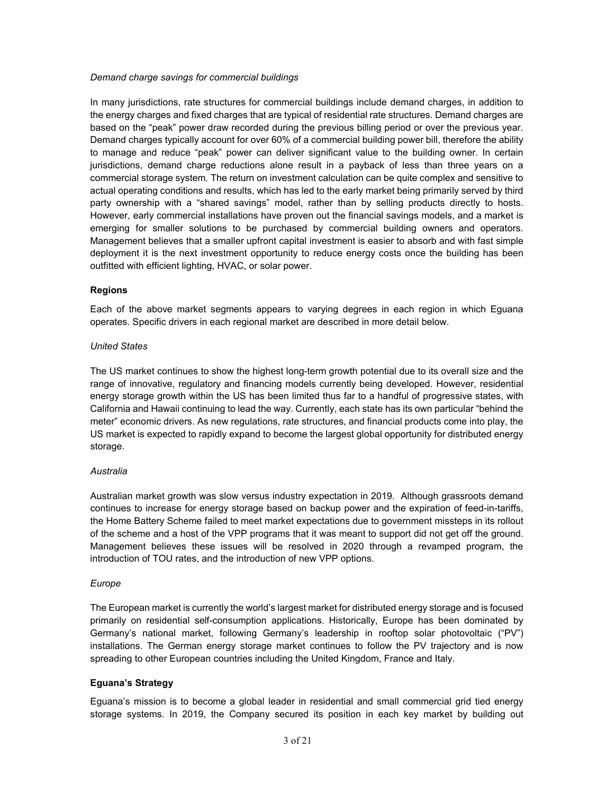#### *Demand charge savings for commercial buildings*

In many jurisdictions, rate structures for commercial buildings include demand charges, in addition to the energy charges and fixed charges that are typical of residential rate structures. Demand charges are based on the "peak" power draw recorded during the previous billing period or over the previous year. Demand charges typically account for over 60% of a commercial building power bill, therefore the ability to manage and reduce "peak" power can deliver significant value to the building owner. In certain jurisdictions, demand charge reductions alone result in a payback of less than three years on a commercial storage system. The return on investment calculation can be quite complex and sensitive to actual operating conditions and results, which has led to the early market being primarily served by third party ownership with a "shared savings" model, rather than by selling products directly to hosts. However, early commercial installations have proven out the financial savings models, and a market is emerging for smaller solutions to be purchased by commercial building owners and operators. Management believes that a smaller upfront capital investment is easier to absorb and with fast simple deployment it is the next investment opportunity to reduce energy costs once the building has been outfitted with efficient lighting, HVAC, or solar power.

# **Regions**

Each of the above market segments appears to varying degrees in each region in which Eguana operates. Specific drivers in each regional market are described in more detail below.

# *United States*

The US market continues to show the highest long-term growth potential due to its overall size and the range of innovative, regulatory and financing models currently being developed. However, residential energy storage growth within the US has been limited thus far to a handful of progressive states, with California and Hawaii continuing to lead the way. Currently, each state has its own particular "behind the meter" economic drivers. As new regulations, rate structures, and financial products come into play, the US market is expected to rapidly expand to become the largest global opportunity for distributed energy storage.

#### *Australia*

Australian market growth was slow versus industry expectation in 2019. Although grassroots demand continues to increase for energy storage based on backup power and the expiration of feed-in-tariffs, the Home Battery Scheme failed to meet market expectations due to government missteps in its rollout of the scheme and a host of the VPP programs that it was meant to support did not get off the ground. Management believes these issues will be resolved in 2020 through a revamped program, the introduction of TOU rates, and the introduction of new VPP options.

# *Europe*

The European market is currently the world's largest market for distributed energy storage and is focused primarily on residential self-consumption applications. Historically, Europe has been dominated by Germany's national market, following Germany's leadership in rooftop solar photovoltaic ("PV") installations. The German energy storage market continues to follow the PV trajectory and is now spreading to other European countries including the United Kingdom, France and Italy.

#### **Eguana's Strategy**

Eguana's mission is to become a global leader in residential and small commercial grid tied energy storage systems. In 2019, the Company secured its position in each key market by building out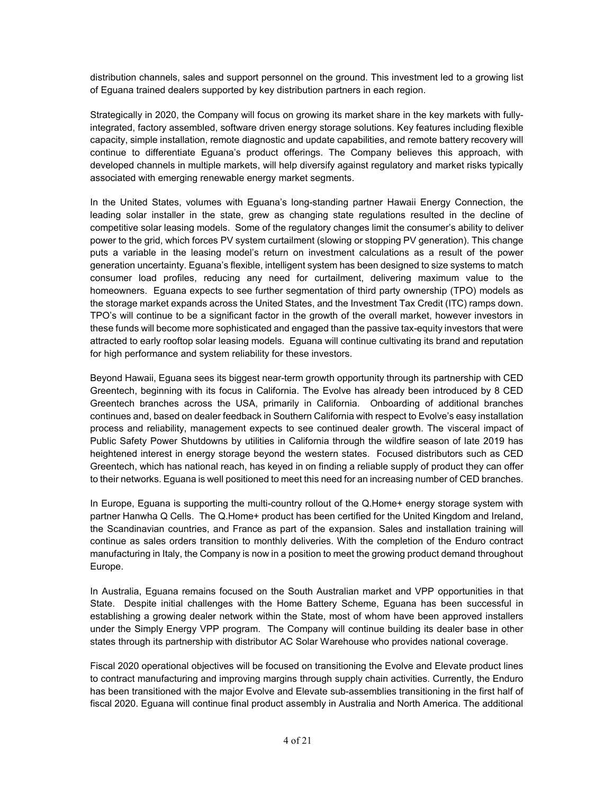distribution channels, sales and support personnel on the ground. This investment led to a growing list of Eguana trained dealers supported by key distribution partners in each region.

Strategically in 2020, the Company will focus on growing its market share in the key markets with fullyintegrated, factory assembled, software driven energy storage solutions. Key features including flexible capacity, simple installation, remote diagnostic and update capabilities, and remote battery recovery will continue to differentiate Eguana's product offerings. The Company believes this approach, with developed channels in multiple markets, will help diversify against regulatory and market risks typically associated with emerging renewable energy market segments.

In the United States, volumes with Eguana's long-standing partner Hawaii Energy Connection, the leading solar installer in the state, grew as changing state regulations resulted in the decline of competitive solar leasing models. Some of the regulatory changes limit the consumer's ability to deliver power to the grid, which forces PV system curtailment (slowing or stopping PV generation). This change puts a variable in the leasing model's return on investment calculations as a result of the power generation uncertainty. Eguana's flexible, intelligent system has been designed to size systems to match consumer load profiles, reducing any need for curtailment, delivering maximum value to the homeowners. Eguana expects to see further segmentation of third party ownership (TPO) models as the storage market expands across the United States, and the Investment Tax Credit (ITC) ramps down. TPO's will continue to be a significant factor in the growth of the overall market, however investors in these funds will become more sophisticated and engaged than the passive tax-equity investors that were attracted to early rooftop solar leasing models. Eguana will continue cultivating its brand and reputation for high performance and system reliability for these investors.

Beyond Hawaii, Eguana sees its biggest near-term growth opportunity through its partnership with CED Greentech, beginning with its focus in California. The Evolve has already been introduced by 8 CED Greentech branches across the USA, primarily in California. Onboarding of additional branches continues and, based on dealer feedback in Southern California with respect to Evolve's easy installation process and reliability, management expects to see continued dealer growth. The visceral impact of Public Safety Power Shutdowns by utilities in California through the wildfire season of late 2019 has heightened interest in energy storage beyond the western states. Focused distributors such as CED Greentech, which has national reach, has keyed in on finding a reliable supply of product they can offer to their networks. Eguana is well positioned to meet this need for an increasing number of CED branches.

In Europe, Eguana is supporting the multi-country rollout of the Q.Home+ energy storage system with partner Hanwha Q Cells. The Q.Home+ product has been certified for the United Kingdom and Ireland, the Scandinavian countries, and France as part of the expansion. Sales and installation training will continue as sales orders transition to monthly deliveries. With the completion of the Enduro contract manufacturing in Italy, the Company is now in a position to meet the growing product demand throughout Europe.

In Australia, Eguana remains focused on the South Australian market and VPP opportunities in that State. Despite initial challenges with the Home Battery Scheme, Eguana has been successful in establishing a growing dealer network within the State, most of whom have been approved installers under the Simply Energy VPP program. The Company will continue building its dealer base in other states through its partnership with distributor AC Solar Warehouse who provides national coverage.

Fiscal 2020 operational objectives will be focused on transitioning the Evolve and Elevate product lines to contract manufacturing and improving margins through supply chain activities. Currently, the Enduro has been transitioned with the major Evolve and Elevate sub-assemblies transitioning in the first half of fiscal 2020. Eguana will continue final product assembly in Australia and North America. The additional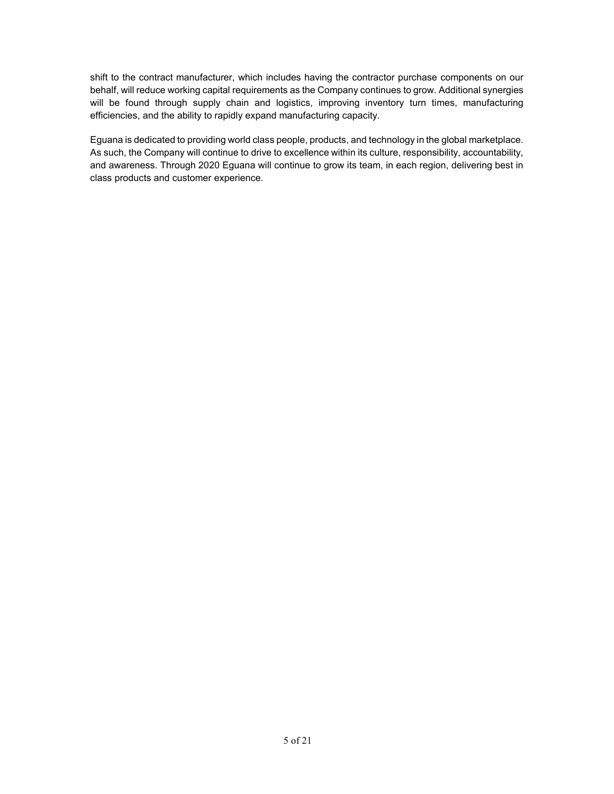shift to the contract manufacturer, which includes having the contractor purchase components on our behalf, will reduce working capital requirements as the Company continues to grow. Additional synergies will be found through supply chain and logistics, improving inventory turn times, manufacturing efficiencies, and the ability to rapidly expand manufacturing capacity.

Eguana is dedicated to providing world class people, products, and technology in the global marketplace. As such, the Company will continue to drive to excellence within its culture, responsibility, accountability, and awareness. Through 2020 Eguana will continue to grow its team, in each region, delivering best in class products and customer experience.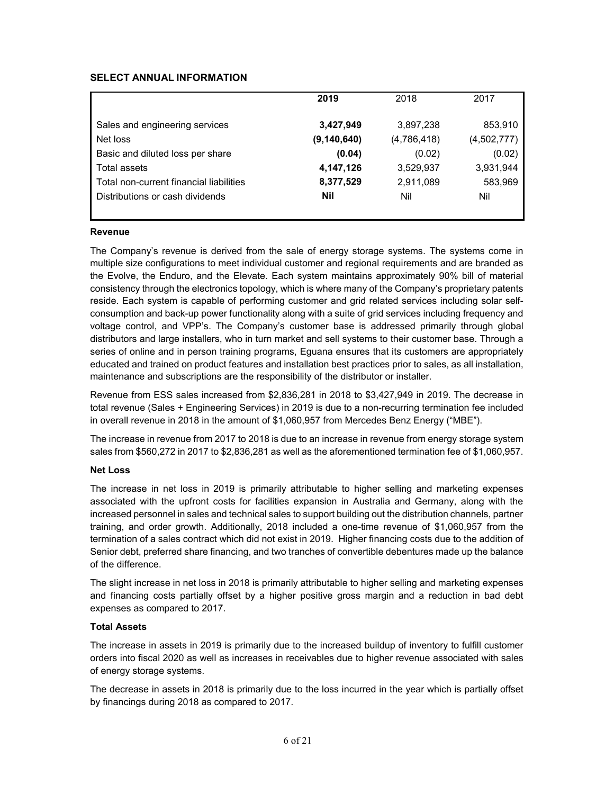# **SELECT ANNUAL INFORMATION**

|                                         | 2019          | 2018        | 2017        |
|-----------------------------------------|---------------|-------------|-------------|
| Sales and engineering services          | 3,427,949     | 3,897,238   | 853,910     |
| Net loss                                | (9, 140, 640) | (4,786,418) | (4,502,777) |
| Basic and diluted loss per share        | (0.04)        | (0.02)      | (0.02)      |
| Total assets                            | 4,147,126     | 3,529,937   | 3,931,944   |
| Total non-current financial liabilities | 8,377,529     | 2,911,089   | 583,969     |
| Distributions or cash dividends         | <b>Nil</b>    | Nil         | Nil         |
|                                         |               |             |             |

#### **Revenue**

The Company's revenue is derived from the sale of energy storage systems. The systems come in multiple size configurations to meet individual customer and regional requirements and are branded as the Evolve, the Enduro, and the Elevate. Each system maintains approximately 90% bill of material consistency through the electronics topology, which is where many of the Company's proprietary patents reside. Each system is capable of performing customer and grid related services including solar selfconsumption and back-up power functionality along with a suite of grid services including frequency and voltage control, and VPP's. The Company's customer base is addressed primarily through global distributors and large installers, who in turn market and sell systems to their customer base. Through a series of online and in person training programs, Eguana ensures that its customers are appropriately educated and trained on product features and installation best practices prior to sales, as all installation, maintenance and subscriptions are the responsibility of the distributor or installer.

Revenue from ESS sales increased from \$2,836,281 in 2018 to \$3,427,949 in 2019. The decrease in total revenue (Sales + Engineering Services) in 2019 is due to a non-recurring termination fee included in overall revenue in 2018 in the amount of \$1,060,957 from Mercedes Benz Energy ("MBE").

The increase in revenue from 2017 to 2018 is due to an increase in revenue from energy storage system sales from \$560,272 in 2017 to \$2,836,281 as well as the aforementioned termination fee of \$1,060,957.

#### **Net Loss**

The increase in net loss in 2019 is primarily attributable to higher selling and marketing expenses associated with the upfront costs for facilities expansion in Australia and Germany, along with the increased personnel in sales and technical sales to support building out the distribution channels, partner training, and order growth. Additionally, 2018 included a one-time revenue of \$1,060,957 from the termination of a sales contract which did not exist in 2019. Higher financing costs due to the addition of Senior debt, preferred share financing, and two tranches of convertible debentures made up the balance of the difference.

The slight increase in net loss in 2018 is primarily attributable to higher selling and marketing expenses and financing costs partially offset by a higher positive gross margin and a reduction in bad debt expenses as compared to 2017.

#### **Total Assets**

The increase in assets in 2019 is primarily due to the increased buildup of inventory to fulfill customer orders into fiscal 2020 as well as increases in receivables due to higher revenue associated with sales of energy storage systems.

The decrease in assets in 2018 is primarily due to the loss incurred in the year which is partially offset by financings during 2018 as compared to 2017.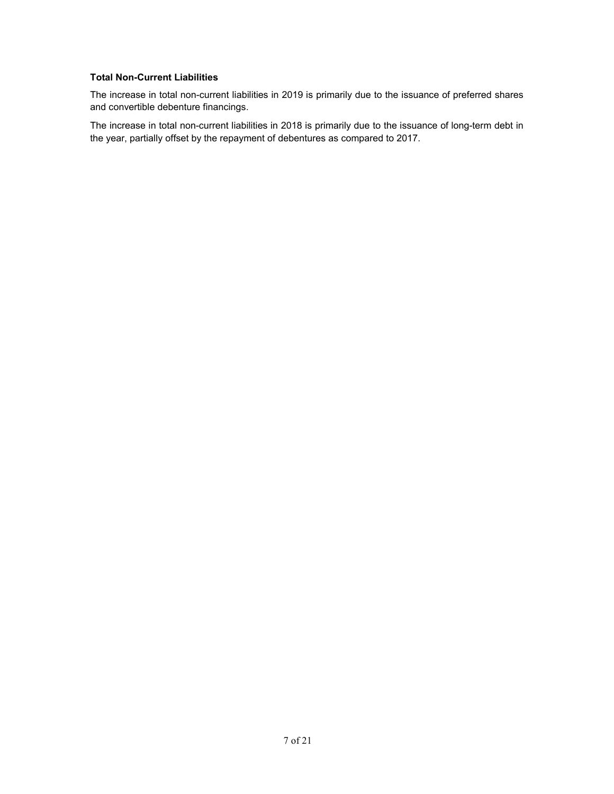# **Total Non-Current Liabilities**

The increase in total non-current liabilities in 2019 is primarily due to the issuance of preferred shares and convertible debenture financings.

The increase in total non-current liabilities in 2018 is primarily due to the issuance of long-term debt in the year, partially offset by the repayment of debentures as compared to 2017.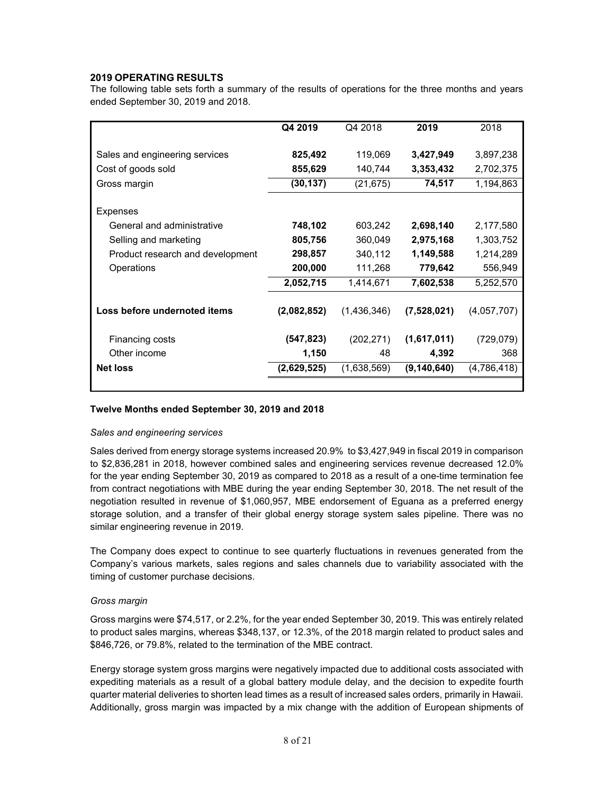# **2019 OPERATING RESULTS**

The following table sets forth a summary of the results of operations for the three months and years ended September 30, 2019 and 2018.

|                                  | Q4 2019     | Q4 2018     | 2019          | 2018        |
|----------------------------------|-------------|-------------|---------------|-------------|
| Sales and engineering services   | 825,492     | 119,069     | 3,427,949     | 3,897,238   |
| Cost of goods sold               | 855,629     | 140,744     | 3,353,432     | 2,702,375   |
| Gross margin                     | (30, 137)   | (21, 675)   | 74,517        | 1,194,863   |
| Expenses                         |             |             |               |             |
| General and administrative       | 748,102     | 603,242     | 2,698,140     | 2,177,580   |
| Selling and marketing            | 805,756     | 360,049     | 2,975,168     | 1,303,752   |
| Product research and development | 298,857     | 340,112     | 1,149,588     | 1,214,289   |
| Operations                       | 200,000     | 111,268     | 779,642       | 556,949     |
|                                  | 2,052,715   | 1,414,671   | 7,602,538     | 5,252,570   |
| Loss before undernoted items     | (2,082,852) | (1,436,346) | (7,528,021)   | (4,057,707) |
| Financing costs                  | (547, 823)  | (202, 271)  | (1,617,011)   | (729, 079)  |
| Other income                     | 1,150       | 48          | 4,392         | 368         |
| <b>Net loss</b>                  | (2,629,525) | (1,638,569) | (9, 140, 640) | (4,786,418) |
|                                  |             |             |               |             |

#### **Twelve Months ended September 30, 2019 and 2018**

#### *Sales and engineering services*

Sales derived from energy storage systems increased 20.9% to \$3,427,949 in fiscal 2019 in comparison to \$2,836,281 in 2018, however combined sales and engineering services revenue decreased 12.0% for the year ending September 30, 2019 as compared to 2018 as a result of a one-time termination fee from contract negotiations with MBE during the year ending September 30, 2018. The net result of the negotiation resulted in revenue of \$1,060,957, MBE endorsement of Eguana as a preferred energy storage solution, and a transfer of their global energy storage system sales pipeline. There was no similar engineering revenue in 2019.

The Company does expect to continue to see quarterly fluctuations in revenues generated from the Company's various markets, sales regions and sales channels due to variability associated with the timing of customer purchase decisions.

#### *Gross margin*

Gross margins were \$74,517, or 2.2%, for the year ended September 30, 2019. This was entirely related to product sales margins, whereas \$348,137, or 12.3%, of the 2018 margin related to product sales and \$846,726, or 79.8%, related to the termination of the MBE contract.

Energy storage system gross margins were negatively impacted due to additional costs associated with expediting materials as a result of a global battery module delay, and the decision to expedite fourth quarter material deliveries to shorten lead times as a result of increased sales orders, primarily in Hawaii. Additionally, gross margin was impacted by a mix change with the addition of European shipments of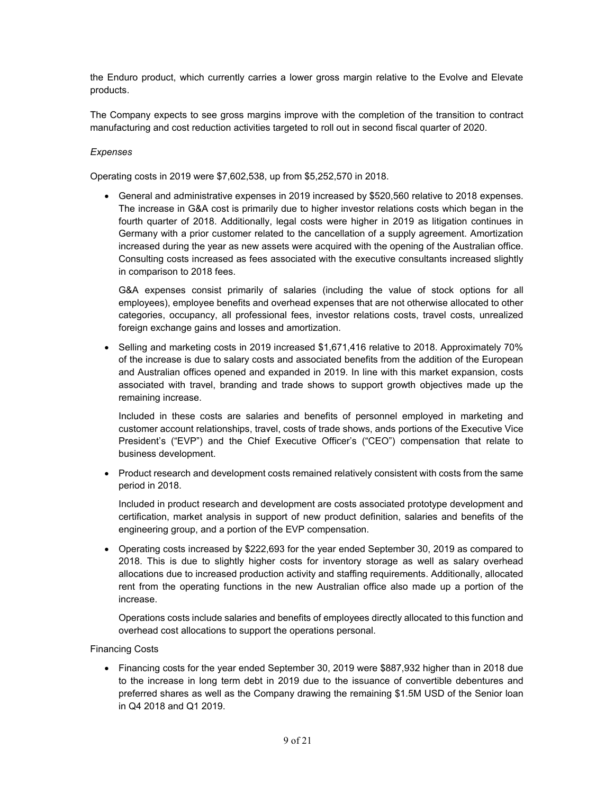the Enduro product, which currently carries a lower gross margin relative to the Evolve and Elevate products.

The Company expects to see gross margins improve with the completion of the transition to contract manufacturing and cost reduction activities targeted to roll out in second fiscal quarter of 2020.

# *Expenses*

Operating costs in 2019 were \$7,602,538, up from \$5,252,570 in 2018.

• General and administrative expenses in 2019 increased by \$520,560 relative to 2018 expenses. The increase in G&A cost is primarily due to higher investor relations costs which began in the fourth quarter of 2018. Additionally, legal costs were higher in 2019 as litigation continues in Germany with a prior customer related to the cancellation of a supply agreement. Amortization increased during the year as new assets were acquired with the opening of the Australian office. Consulting costs increased as fees associated with the executive consultants increased slightly in comparison to 2018 fees.

G&A expenses consist primarily of salaries (including the value of stock options for all employees), employee benefits and overhead expenses that are not otherwise allocated to other categories, occupancy, all professional fees, investor relations costs, travel costs, unrealized foreign exchange gains and losses and amortization.

• Selling and marketing costs in 2019 increased \$1,671,416 relative to 2018. Approximately 70% of the increase is due to salary costs and associated benefits from the addition of the European and Australian offices opened and expanded in 2019. In line with this market expansion, costs associated with travel, branding and trade shows to support growth objectives made up the remaining increase.

Included in these costs are salaries and benefits of personnel employed in marketing and customer account relationships, travel, costs of trade shows, ands portions of the Executive Vice President's ("EVP") and the Chief Executive Officer's ("CEO") compensation that relate to business development.

• Product research and development costs remained relatively consistent with costs from the same period in 2018.

Included in product research and development are costs associated prototype development and certification, market analysis in support of new product definition, salaries and benefits of the engineering group, and a portion of the EVP compensation.

• Operating costs increased by \$222,693 for the year ended September 30, 2019 as compared to 2018. This is due to slightly higher costs for inventory storage as well as salary overhead allocations due to increased production activity and staffing requirements. Additionally, allocated rent from the operating functions in the new Australian office also made up a portion of the increase.

Operations costs include salaries and benefits of employees directly allocated to this function and overhead cost allocations to support the operations personal.

Financing Costs

• Financing costs for the year ended September 30, 2019 were \$887,932 higher than in 2018 due to the increase in long term debt in 2019 due to the issuance of convertible debentures and preferred shares as well as the Company drawing the remaining \$1.5M USD of the Senior loan in Q4 2018 and Q1 2019.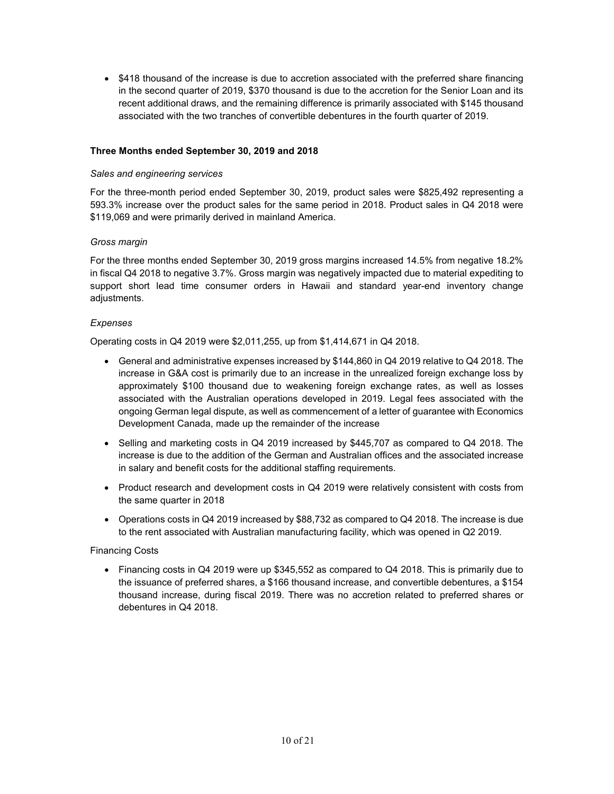• \$418 thousand of the increase is due to accretion associated with the preferred share financing in the second quarter of 2019, \$370 thousand is due to the accretion for the Senior Loan and its recent additional draws, and the remaining difference is primarily associated with \$145 thousand associated with the two tranches of convertible debentures in the fourth quarter of 2019.

#### **Three Months ended September 30, 2019 and 2018**

#### *Sales and engineering services*

For the three-month period ended September 30, 2019, product sales were \$825,492 representing a 593.3% increase over the product sales for the same period in 2018. Product sales in Q4 2018 were \$119,069 and were primarily derived in mainland America.

#### *Gross margin*

For the three months ended September 30, 2019 gross margins increased 14.5% from negative 18.2% in fiscal Q4 2018 to negative 3.7%. Gross margin was negatively impacted due to material expediting to support short lead time consumer orders in Hawaii and standard year-end inventory change adjustments.

#### *Expenses*

Operating costs in Q4 2019 were \$2,011,255, up from \$1,414,671 in Q4 2018.

- General and administrative expenses increased by \$144,860 in Q4 2019 relative to Q4 2018. The increase in G&A cost is primarily due to an increase in the unrealized foreign exchange loss by approximately \$100 thousand due to weakening foreign exchange rates, as well as losses associated with the Australian operations developed in 2019. Legal fees associated with the ongoing German legal dispute, as well as commencement of a letter of guarantee with Economics Development Canada, made up the remainder of the increase
- Selling and marketing costs in Q4 2019 increased by \$445,707 as compared to Q4 2018. The increase is due to the addition of the German and Australian offices and the associated increase in salary and benefit costs for the additional staffing requirements.
- Product research and development costs in Q4 2019 were relatively consistent with costs from the same quarter in 2018
- Operations costs in Q4 2019 increased by \$88,732 as compared to Q4 2018. The increase is due to the rent associated with Australian manufacturing facility, which was opened in Q2 2019.

#### Financing Costs

• Financing costs in Q4 2019 were up \$345,552 as compared to Q4 2018. This is primarily due to the issuance of preferred shares, a \$166 thousand increase, and convertible debentures, a \$154 thousand increase, during fiscal 2019. There was no accretion related to preferred shares or debentures in Q4 2018.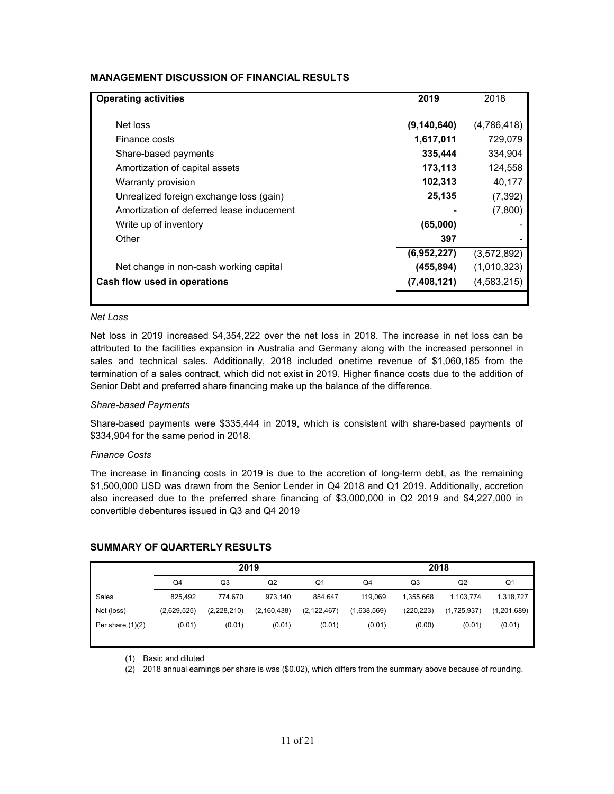# **MANAGEMENT DISCUSSION OF FINANCIAL RESULTS**

| <b>Operating activities</b>               | 2019          | 2018        |
|-------------------------------------------|---------------|-------------|
| Net loss                                  | (9, 140, 640) | (4,786,418) |
| Finance costs                             | 1,617,011     | 729,079     |
| Share-based payments                      | 335,444       | 334.904     |
| Amortization of capital assets            | 173,113       | 124,558     |
| Warranty provision                        | 102,313       | 40,177      |
| Unrealized foreign exchange loss (gain)   | 25,135        | (7, 392)    |
| Amortization of deferred lease inducement |               | (7,800)     |
| Write up of inventory                     | (65,000)      |             |
| Other                                     | 397           |             |
|                                           | (6,952,227)   | (3.572.892) |
| Net change in non-cash working capital    | (455, 894)    | (1,010,323) |
| Cash flow used in operations              | (7,408,121)   | (4,583,215) |
|                                           |               |             |

#### *Net Loss*

Net loss in 2019 increased \$4,354,222 over the net loss in 2018. The increase in net loss can be attributed to the facilities expansion in Australia and Germany along with the increased personnel in sales and technical sales. Additionally, 2018 included onetime revenue of \$1,060,185 from the termination of a sales contract, which did not exist in 2019. Higher finance costs due to the addition of Senior Debt and preferred share financing make up the balance of the difference.

#### *Share-based Payments*

Share-based payments were \$335,444 in 2019, which is consistent with share-based payments of \$334,904 for the same period in 2018.

#### *Finance Costs*

The increase in financing costs in 2019 is due to the accretion of long-term debt, as the remaining \$1,500,000 USD was drawn from the Senior Lender in Q4 2018 and Q1 2019. Additionally, accretion also increased due to the preferred share financing of \$3,000,000 in Q2 2019 and \$4,227,000 in convertible debentures issued in Q3 and Q4 2019

|                    | 2019        |             |                | 2018          |             |            |             |             |
|--------------------|-------------|-------------|----------------|---------------|-------------|------------|-------------|-------------|
|                    | Q4          | Q3          | Q <sub>2</sub> | Q1            | Q4          | Q3         | Q2          | Q1          |
| Sales              | 825.492     | 774.670     | 973,140        | 854.647       | 119.069     | 1,355,668  | 1,103,774   | 1,318,727   |
| Net (loss)         | (2,629,525) | (2,228,210) | (2, 160, 438)  | (2, 122, 467) | (1,638,569) | (220, 223) | (1,725,937) | (1,201,689) |
| Per share $(1)(2)$ | (0.01)      | (0.01)      | (0.01)         | (0.01)        | (0.01)      | (0.00)     | (0.01)      | (0.01)      |

# **SUMMARY OF QUARTERLY RESULTS**

(1) Basic and diluted

(2) 2018 annual earnings per share is was (\$0.02), which differs from the summary above because of rounding.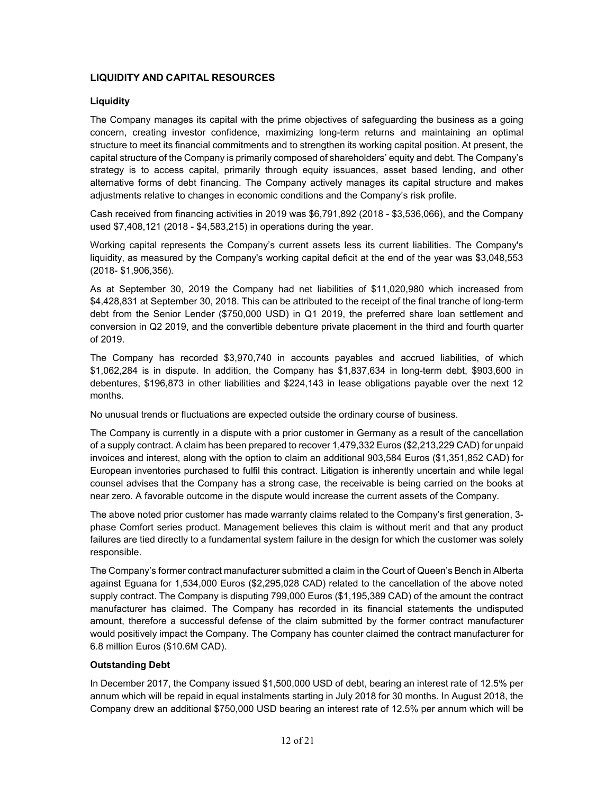# **LIQUIDITY AND CAPITAL RESOURCES**

# **Liquidity**

The Company manages its capital with the prime objectives of safeguarding the business as a going concern, creating investor confidence, maximizing long-term returns and maintaining an optimal structure to meet its financial commitments and to strengthen its working capital position. At present, the capital structure of the Company is primarily composed of shareholders' equity and debt. The Company's strategy is to access capital, primarily through equity issuances, asset based lending, and other alternative forms of debt financing. The Company actively manages its capital structure and makes adjustments relative to changes in economic conditions and the Company's risk profile.

Cash received from financing activities in 2019 was \$6,791,892 (2018 - \$3,536,066), and the Company used \$7,408,121 (2018 - \$4,583,215) in operations during the year.

Working capital represents the Company's current assets less its current liabilities. The Company's liquidity, as measured by the Company's working capital deficit at the end of the year was \$3,048,553 (2018- \$1,906,356).

As at September 30, 2019 the Company had net liabilities of \$11,020,980 which increased from \$4,428,831 at September 30, 2018. This can be attributed to the receipt of the final tranche of long-term debt from the Senior Lender (\$750,000 USD) in Q1 2019, the preferred share loan settlement and conversion in Q2 2019, and the convertible debenture private placement in the third and fourth quarter of 2019.

The Company has recorded \$3,970,740 in accounts payables and accrued liabilities, of which \$1,062,284 is in dispute. In addition, the Company has \$1,837,634 in long-term debt, \$903,600 in debentures, \$196,873 in other liabilities and \$224,143 in lease obligations payable over the next 12 months.

No unusual trends or fluctuations are expected outside the ordinary course of business.

The Company is currently in a dispute with a prior customer in Germany as a result of the cancellation of a supply contract. A claim has been prepared to recover 1,479,332 Euros (\$2,213,229 CAD) for unpaid invoices and interest, along with the option to claim an additional 903,584 Euros (\$1,351,852 CAD) for European inventories purchased to fulfil this contract. Litigation is inherently uncertain and while legal counsel advises that the Company has a strong case, the receivable is being carried on the books at near zero. A favorable outcome in the dispute would increase the current assets of the Company.

The above noted prior customer has made warranty claims related to the Company's first generation, 3 phase Comfort series product. Management believes this claim is without merit and that any product failures are tied directly to a fundamental system failure in the design for which the customer was solely responsible.

The Company's former contract manufacturer submitted a claim in the Court of Queen's Bench in Alberta against Eguana for 1,534,000 Euros (\$2,295,028 CAD) related to the cancellation of the above noted supply contract. The Company is disputing 799,000 Euros (\$1,195,389 CAD) of the amount the contract manufacturer has claimed. The Company has recorded in its financial statements the undisputed amount, therefore a successful defense of the claim submitted by the former contract manufacturer would positively impact the Company. The Company has counter claimed the contract manufacturer for 6.8 million Euros (\$10.6M CAD).

# **Outstanding Debt**

In December 2017, the Company issued \$1,500,000 USD of debt, bearing an interest rate of 12.5% per annum which will be repaid in equal instalments starting in July 2018 for 30 months. In August 2018, the Company drew an additional \$750,000 USD bearing an interest rate of 12.5% per annum which will be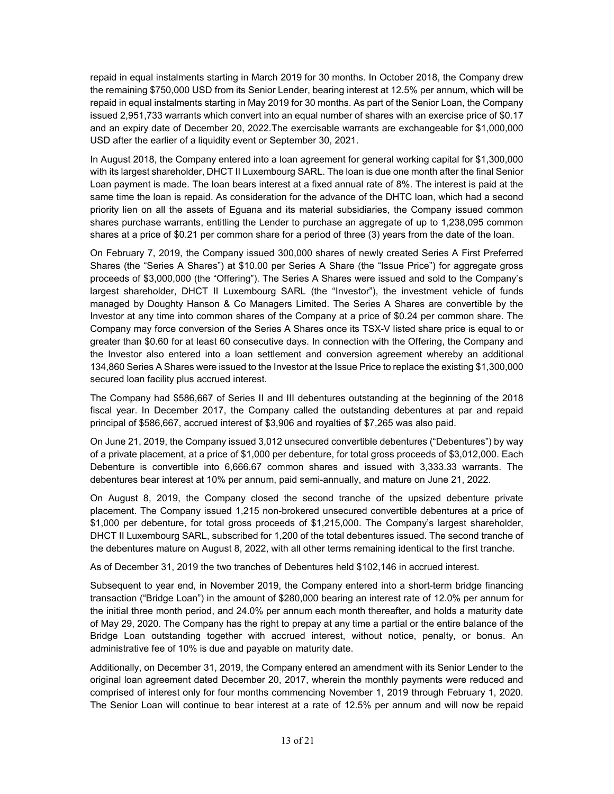repaid in equal instalments starting in March 2019 for 30 months. In October 2018, the Company drew the remaining \$750,000 USD from its Senior Lender, bearing interest at 12.5% per annum, which will be repaid in equal instalments starting in May 2019 for 30 months. As part of the Senior Loan, the Company issued 2,951,733 warrants which convert into an equal number of shares with an exercise price of \$0.17 and an expiry date of December 20, 2022.The exercisable warrants are exchangeable for \$1,000,000 USD after the earlier of a liquidity event or September 30, 2021.

In August 2018, the Company entered into a loan agreement for general working capital for \$1,300,000 with its largest shareholder, DHCT II Luxembourg SARL. The loan is due one month after the final Senior Loan payment is made. The loan bears interest at a fixed annual rate of 8%. The interest is paid at the same time the loan is repaid. As consideration for the advance of the DHTC loan, which had a second priority lien on all the assets of Eguana and its material subsidiaries, the Company issued common shares purchase warrants, entitling the Lender to purchase an aggregate of up to 1,238,095 common shares at a price of \$0.21 per common share for a period of three (3) years from the date of the loan.

On February 7, 2019, the Company issued 300,000 shares of newly created Series A First Preferred Shares (the "Series A Shares") at \$10.00 per Series A Share (the "Issue Price") for aggregate gross proceeds of \$3,000,000 (the "Offering"). The Series A Shares were issued and sold to the Company's largest shareholder, DHCT II Luxembourg SARL (the "Investor"), the investment vehicle of funds managed by Doughty Hanson & Co Managers Limited. The Series A Shares are convertible by the Investor at any time into common shares of the Company at a price of \$0.24 per common share. The Company may force conversion of the Series A Shares once its TSX-V listed share price is equal to or greater than \$0.60 for at least 60 consecutive days. In connection with the Offering, the Company and the Investor also entered into a loan settlement and conversion agreement whereby an additional 134,860 Series A Shares were issued to the Investor at the Issue Price to replace the existing \$1,300,000 secured loan facility plus accrued interest.

The Company had \$586,667 of Series II and III debentures outstanding at the beginning of the 2018 fiscal year. In December 2017, the Company called the outstanding debentures at par and repaid principal of \$586,667, accrued interest of \$3,906 and royalties of \$7,265 was also paid.

On June 21, 2019, the Company issued 3,012 unsecured convertible debentures ("Debentures") by way of a private placement, at a price of \$1,000 per debenture, for total gross proceeds of \$3,012,000. Each Debenture is convertible into 6,666.67 common shares and issued with 3,333.33 warrants. The debentures bear interest at 10% per annum, paid semi-annually, and mature on June 21, 2022.

On August 8, 2019, the Company closed the second tranche of the upsized debenture private placement. The Company issued 1,215 non-brokered unsecured convertible debentures at a price of \$1,000 per debenture, for total gross proceeds of \$1,215,000. The Company's largest shareholder, DHCT II Luxembourg SARL, subscribed for 1,200 of the total debentures issued. The second tranche of the debentures mature on August 8, 2022, with all other terms remaining identical to the first tranche.

As of December 31, 2019 the two tranches of Debentures held \$102,146 in accrued interest.

Subsequent to year end, in November 2019, the Company entered into a short-term bridge financing transaction ("Bridge Loan") in the amount of \$280,000 bearing an interest rate of 12.0% per annum for the initial three month period, and 24.0% per annum each month thereafter, and holds a maturity date of May 29, 2020. The Company has the right to prepay at any time a partial or the entire balance of the Bridge Loan outstanding together with accrued interest, without notice, penalty, or bonus. An administrative fee of 10% is due and payable on maturity date.

Additionally, on December 31, 2019, the Company entered an amendment with its Senior Lender to the original loan agreement dated December 20, 2017, wherein the monthly payments were reduced and comprised of interest only for four months commencing November 1, 2019 through February 1, 2020. The Senior Loan will continue to bear interest at a rate of 12.5% per annum and will now be repaid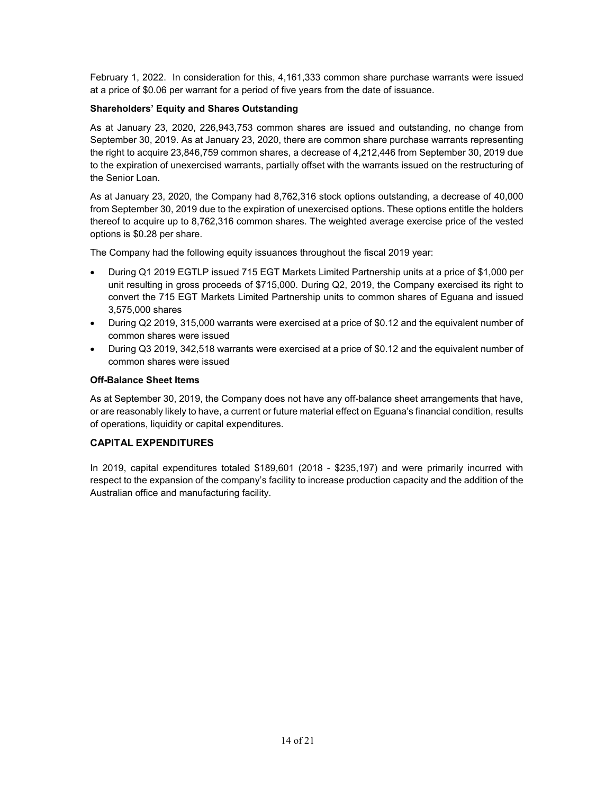February 1, 2022. In consideration for this, 4,161,333 common share purchase warrants were issued at a price of \$0.06 per warrant for a period of five years from the date of issuance.

# **Shareholders' Equity and Shares Outstanding**

As at January 23, 2020, 226,943,753 common shares are issued and outstanding, no change from September 30, 2019. As at January 23, 2020, there are common share purchase warrants representing the right to acquire 23,846,759 common shares, a decrease of 4,212,446 from September 30, 2019 due to the expiration of unexercised warrants, partially offset with the warrants issued on the restructuring of the Senior Loan.

As at January 23, 2020, the Company had 8,762,316 stock options outstanding, a decrease of 40,000 from September 30, 2019 due to the expiration of unexercised options. These options entitle the holders thereof to acquire up to 8,762,316 common shares. The weighted average exercise price of the vested options is \$0.28 per share.

The Company had the following equity issuances throughout the fiscal 2019 year:

- During Q1 2019 EGTLP issued 715 EGT Markets Limited Partnership units at a price of \$1,000 per unit resulting in gross proceeds of \$715,000. During Q2, 2019, the Company exercised its right to convert the 715 EGT Markets Limited Partnership units to common shares of Eguana and issued 3,575,000 shares
- During Q2 2019, 315,000 warrants were exercised at a price of \$0.12 and the equivalent number of common shares were issued
- During Q3 2019, 342,518 warrants were exercised at a price of \$0.12 and the equivalent number of common shares were issued

#### **Off-Balance Sheet Items**

As at September 30, 2019, the Company does not have any off-balance sheet arrangements that have, or are reasonably likely to have, a current or future material effect on Eguana's financial condition, results of operations, liquidity or capital expenditures.

# **CAPITAL EXPENDITURES**

In 2019, capital expenditures totaled \$189,601 (2018 - \$235,197) and were primarily incurred with respect to the expansion of the company's facility to increase production capacity and the addition of the Australian office and manufacturing facility.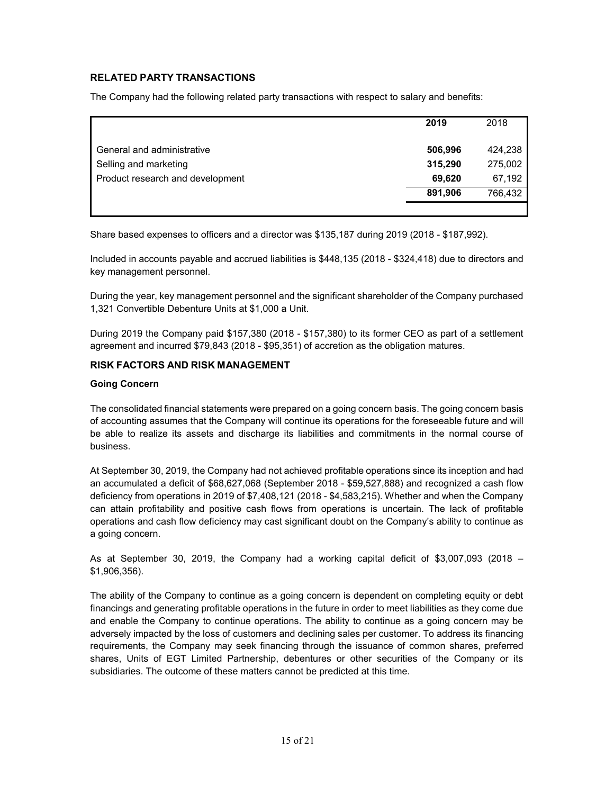# **RELATED PARTY TRANSACTIONS**

The Company had the following related party transactions with respect to salary and benefits:

|                                  | 2019    | 2018    |
|----------------------------------|---------|---------|
| General and administrative       | 506,996 | 424,238 |
| Selling and marketing            | 315,290 | 275,002 |
| Product research and development | 69,620  | 67,192  |
|                                  | 891,906 | 766,432 |
|                                  |         |         |

Share based expenses to officers and a director was \$135,187 during 2019 (2018 - \$187,992).

Included in accounts payable and accrued liabilities is \$448,135 (2018 - \$324,418) due to directors and key management personnel.

During the year, key management personnel and the significant shareholder of the Company purchased 1,321 Convertible Debenture Units at \$1,000 a Unit.

During 2019 the Company paid \$157,380 (2018 - \$157,380) to its former CEO as part of a settlement agreement and incurred \$79,843 (2018 - \$95,351) of accretion as the obligation matures.

# **RISK FACTORS AND RISK MANAGEMENT**

#### **Going Concern**

The consolidated financial statements were prepared on a going concern basis. The going concern basis of accounting assumes that the Company will continue its operations for the foreseeable future and will be able to realize its assets and discharge its liabilities and commitments in the normal course of business.

At September 30, 2019, the Company had not achieved profitable operations since its inception and had an accumulated a deficit of \$68,627,068 (September 2018 - \$59,527,888) and recognized a cash flow deficiency from operations in 2019 of \$7,408,121 (2018 - \$4,583,215). Whether and when the Company can attain profitability and positive cash flows from operations is uncertain. The lack of profitable operations and cash flow deficiency may cast significant doubt on the Company's ability to continue as a going concern.

As at September 30, 2019, the Company had a working capital deficit of \$3,007,093 (2018 – \$1,906,356).

The ability of the Company to continue as a going concern is dependent on completing equity or debt financings and generating profitable operations in the future in order to meet liabilities as they come due and enable the Company to continue operations. The ability to continue as a going concern may be adversely impacted by the loss of customers and declining sales per customer. To address its financing requirements, the Company may seek financing through the issuance of common shares, preferred shares, Units of EGT Limited Partnership, debentures or other securities of the Company or its subsidiaries. The outcome of these matters cannot be predicted at this time.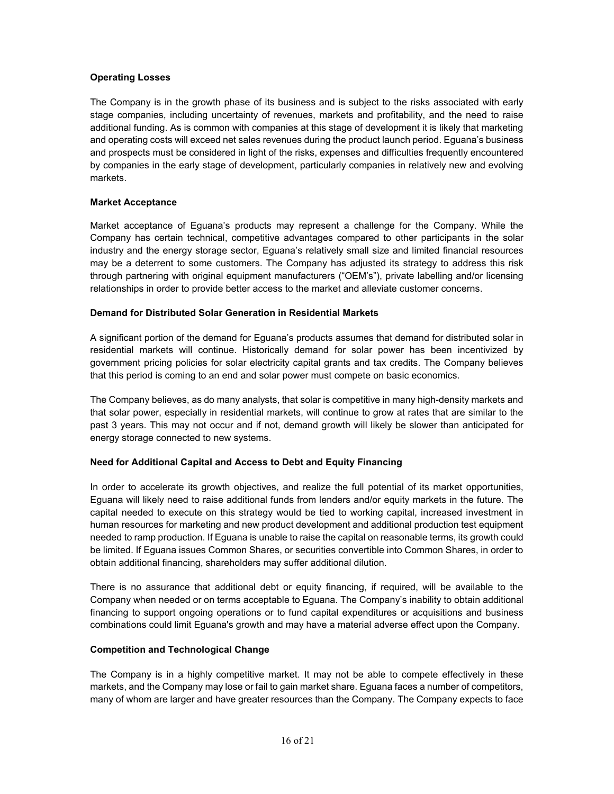# **Operating Losses**

The Company is in the growth phase of its business and is subject to the risks associated with early stage companies, including uncertainty of revenues, markets and profitability, and the need to raise additional funding. As is common with companies at this stage of development it is likely that marketing and operating costs will exceed net sales revenues during the product launch period. Eguana's business and prospects must be considered in light of the risks, expenses and difficulties frequently encountered by companies in the early stage of development, particularly companies in relatively new and evolving markets.

#### **Market Acceptance**

Market acceptance of Eguana's products may represent a challenge for the Company. While the Company has certain technical, competitive advantages compared to other participants in the solar industry and the energy storage sector, Eguana's relatively small size and limited financial resources may be a deterrent to some customers. The Company has adjusted its strategy to address this risk through partnering with original equipment manufacturers ("OEM's"), private labelling and/or licensing relationships in order to provide better access to the market and alleviate customer concerns.

# **Demand for Distributed Solar Generation in Residential Markets**

A significant portion of the demand for Eguana's products assumes that demand for distributed solar in residential markets will continue. Historically demand for solar power has been incentivized by government pricing policies for solar electricity capital grants and tax credits. The Company believes that this period is coming to an end and solar power must compete on basic economics.

The Company believes, as do many analysts, that solar is competitive in many high-density markets and that solar power, especially in residential markets, will continue to grow at rates that are similar to the past 3 years. This may not occur and if not, demand growth will likely be slower than anticipated for energy storage connected to new systems.

# **Need for Additional Capital and Access to Debt and Equity Financing**

In order to accelerate its growth objectives, and realize the full potential of its market opportunities, Eguana will likely need to raise additional funds from lenders and/or equity markets in the future. The capital needed to execute on this strategy would be tied to working capital, increased investment in human resources for marketing and new product development and additional production test equipment needed to ramp production. If Eguana is unable to raise the capital on reasonable terms, its growth could be limited. If Eguana issues Common Shares, or securities convertible into Common Shares, in order to obtain additional financing, shareholders may suffer additional dilution.

There is no assurance that additional debt or equity financing, if required, will be available to the Company when needed or on terms acceptable to Eguana. The Company's inability to obtain additional financing to support ongoing operations or to fund capital expenditures or acquisitions and business combinations could limit Eguana's growth and may have a material adverse effect upon the Company.

#### **Competition and Technological Change**

The Company is in a highly competitive market. It may not be able to compete effectively in these markets, and the Company may lose or fail to gain market share. Eguana faces a number of competitors, many of whom are larger and have greater resources than the Company. The Company expects to face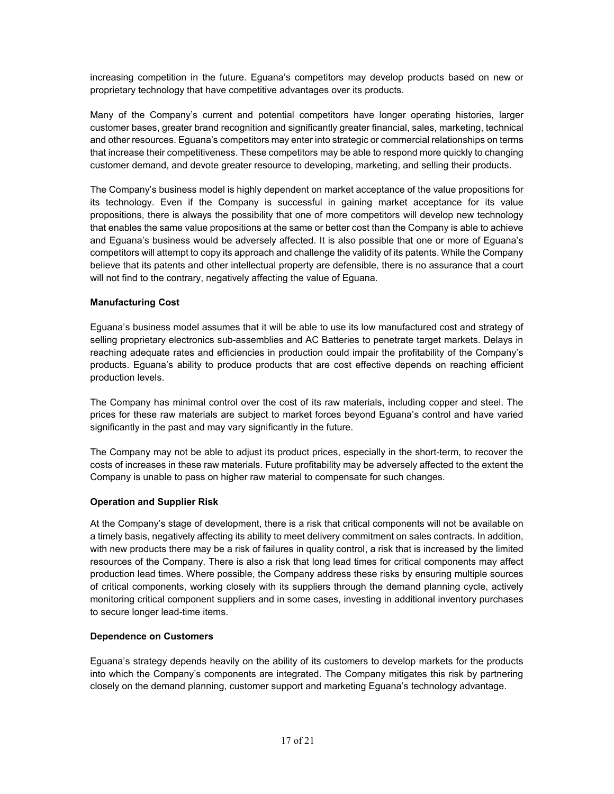increasing competition in the future. Eguana's competitors may develop products based on new or proprietary technology that have competitive advantages over its products.

Many of the Company's current and potential competitors have longer operating histories, larger customer bases, greater brand recognition and significantly greater financial, sales, marketing, technical and other resources. Eguana's competitors may enter into strategic or commercial relationships on terms that increase their competitiveness. These competitors may be able to respond more quickly to changing customer demand, and devote greater resource to developing, marketing, and selling their products.

The Company's business model is highly dependent on market acceptance of the value propositions for its technology. Even if the Company is successful in gaining market acceptance for its value propositions, there is always the possibility that one of more competitors will develop new technology that enables the same value propositions at the same or better cost than the Company is able to achieve and Eguana's business would be adversely affected. It is also possible that one or more of Eguana's competitors will attempt to copy its approach and challenge the validity of its patents. While the Company believe that its patents and other intellectual property are defensible, there is no assurance that a court will not find to the contrary, negatively affecting the value of Eguana.

# **Manufacturing Cost**

Eguana's business model assumes that it will be able to use its low manufactured cost and strategy of selling proprietary electronics sub-assemblies and AC Batteries to penetrate target markets. Delays in reaching adequate rates and efficiencies in production could impair the profitability of the Company's products. Eguana's ability to produce products that are cost effective depends on reaching efficient production levels.

The Company has minimal control over the cost of its raw materials, including copper and steel. The prices for these raw materials are subject to market forces beyond Eguana's control and have varied significantly in the past and may vary significantly in the future.

The Company may not be able to adjust its product prices, especially in the short-term, to recover the costs of increases in these raw materials. Future profitability may be adversely affected to the extent the Company is unable to pass on higher raw material to compensate for such changes.

#### **Operation and Supplier Risk**

At the Company's stage of development, there is a risk that critical components will not be available on a timely basis, negatively affecting its ability to meet delivery commitment on sales contracts. In addition, with new products there may be a risk of failures in quality control, a risk that is increased by the limited resources of the Company. There is also a risk that long lead times for critical components may affect production lead times. Where possible, the Company address these risks by ensuring multiple sources of critical components, working closely with its suppliers through the demand planning cycle, actively monitoring critical component suppliers and in some cases, investing in additional inventory purchases to secure longer lead-time items.

#### **Dependence on Customers**

Eguana's strategy depends heavily on the ability of its customers to develop markets for the products into which the Company's components are integrated. The Company mitigates this risk by partnering closely on the demand planning, customer support and marketing Eguana's technology advantage.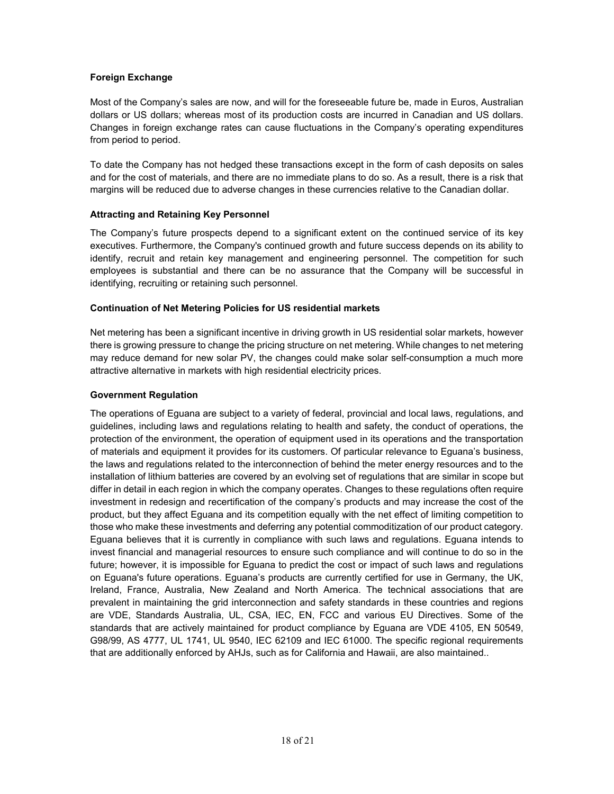# **Foreign Exchange**

Most of the Company's sales are now, and will for the foreseeable future be, made in Euros, Australian dollars or US dollars; whereas most of its production costs are incurred in Canadian and US dollars. Changes in foreign exchange rates can cause fluctuations in the Company's operating expenditures from period to period.

To date the Company has not hedged these transactions except in the form of cash deposits on sales and for the cost of materials, and there are no immediate plans to do so. As a result, there is a risk that margins will be reduced due to adverse changes in these currencies relative to the Canadian dollar.

#### **Attracting and Retaining Key Personnel**

The Company's future prospects depend to a significant extent on the continued service of its key executives. Furthermore, the Company's continued growth and future success depends on its ability to identify, recruit and retain key management and engineering personnel. The competition for such employees is substantial and there can be no assurance that the Company will be successful in identifying, recruiting or retaining such personnel.

# **Continuation of Net Metering Policies for US residential markets**

Net metering has been a significant incentive in driving growth in US residential solar markets, however there is growing pressure to change the pricing structure on net metering. While changes to net metering may reduce demand for new solar PV, the changes could make solar self-consumption a much more attractive alternative in markets with high residential electricity prices.

#### **Government Regulation**

The operations of Eguana are subject to a variety of federal, provincial and local laws, regulations, and guidelines, including laws and regulations relating to health and safety, the conduct of operations, the protection of the environment, the operation of equipment used in its operations and the transportation of materials and equipment it provides for its customers. Of particular relevance to Eguana's business, the laws and regulations related to the interconnection of behind the meter energy resources and to the installation of lithium batteries are covered by an evolving set of regulations that are similar in scope but differ in detail in each region in which the company operates. Changes to these regulations often require investment in redesign and recertification of the company's products and may increase the cost of the product, but they affect Eguana and its competition equally with the net effect of limiting competition to those who make these investments and deferring any potential commoditization of our product category. Eguana believes that it is currently in compliance with such laws and regulations. Eguana intends to invest financial and managerial resources to ensure such compliance and will continue to do so in the future; however, it is impossible for Eguana to predict the cost or impact of such laws and regulations on Eguana's future operations. Eguana's products are currently certified for use in Germany, the UK, Ireland, France, Australia, New Zealand and North America. The technical associations that are prevalent in maintaining the grid interconnection and safety standards in these countries and regions are VDE, Standards Australia, UL, CSA, IEC, EN, FCC and various EU Directives. Some of the standards that are actively maintained for product compliance by Eguana are VDE 4105, EN 50549, G98/99, AS 4777, UL 1741, UL 9540, IEC 62109 and IEC 61000. The specific regional requirements that are additionally enforced by AHJs, such as for California and Hawaii, are also maintained..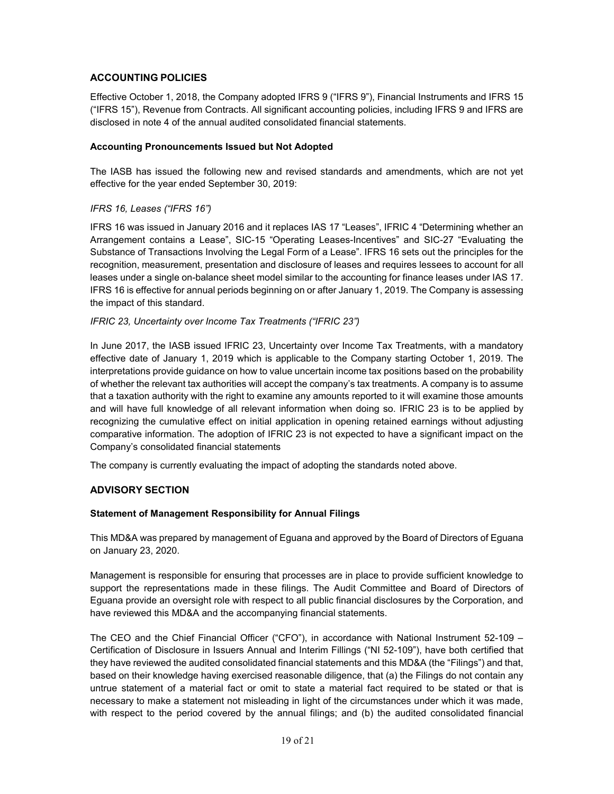# **ACCOUNTING POLICIES**

Effective October 1, 2018, the Company adopted IFRS 9 ("IFRS 9"), Financial Instruments and IFRS 15 ("IFRS 15"), Revenue from Contracts. All significant accounting policies, including IFRS 9 and IFRS are disclosed in note 4 of the annual audited consolidated financial statements.

# **Accounting Pronouncements Issued but Not Adopted**

The IASB has issued the following new and revised standards and amendments, which are not yet effective for the year ended September 30, 2019:

# *IFRS 16, Leases ("IFRS 16")*

IFRS 16 was issued in January 2016 and it replaces IAS 17 "Leases", IFRIC 4 "Determining whether an Arrangement contains a Lease", SIC-15 "Operating Leases-Incentives" and SIC-27 "Evaluating the Substance of Transactions Involving the Legal Form of a Lease". IFRS 16 sets out the principles for the recognition, measurement, presentation and disclosure of leases and requires lessees to account for all leases under a single on-balance sheet model similar to the accounting for finance leases under IAS 17. IFRS 16 is effective for annual periods beginning on or after January 1, 2019. The Company is assessing the impact of this standard.

#### *IFRIC 23, Uncertainty over Income Tax Treatments ("IFRIC 23")*

In June 2017, the IASB issued IFRIC 23, Uncertainty over Income Tax Treatments, with a mandatory effective date of January 1, 2019 which is applicable to the Company starting October 1, 2019. The interpretations provide guidance on how to value uncertain income tax positions based on the probability of whether the relevant tax authorities will accept the company's tax treatments. A company is to assume that a taxation authority with the right to examine any amounts reported to it will examine those amounts and will have full knowledge of all relevant information when doing so. IFRIC 23 is to be applied by recognizing the cumulative effect on initial application in opening retained earnings without adjusting comparative information. The adoption of IFRIC 23 is not expected to have a significant impact on the Company's consolidated financial statements

The company is currently evaluating the impact of adopting the standards noted above.

# **ADVISORY SECTION**

#### **Statement of Management Responsibility for Annual Filings**

This MD&A was prepared by management of Eguana and approved by the Board of Directors of Eguana on January 23, 2020.

Management is responsible for ensuring that processes are in place to provide sufficient knowledge to support the representations made in these filings. The Audit Committee and Board of Directors of Eguana provide an oversight role with respect to all public financial disclosures by the Corporation, and have reviewed this MD&A and the accompanying financial statements.

The CEO and the Chief Financial Officer ("CFO"), in accordance with National Instrument 52-109 – Certification of Disclosure in Issuers Annual and Interim Fillings ("NI 52-109"), have both certified that they have reviewed the audited consolidated financial statements and this MD&A (the "Filings") and that, based on their knowledge having exercised reasonable diligence, that (a) the Filings do not contain any untrue statement of a material fact or omit to state a material fact required to be stated or that is necessary to make a statement not misleading in light of the circumstances under which it was made, with respect to the period covered by the annual filings; and (b) the audited consolidated financial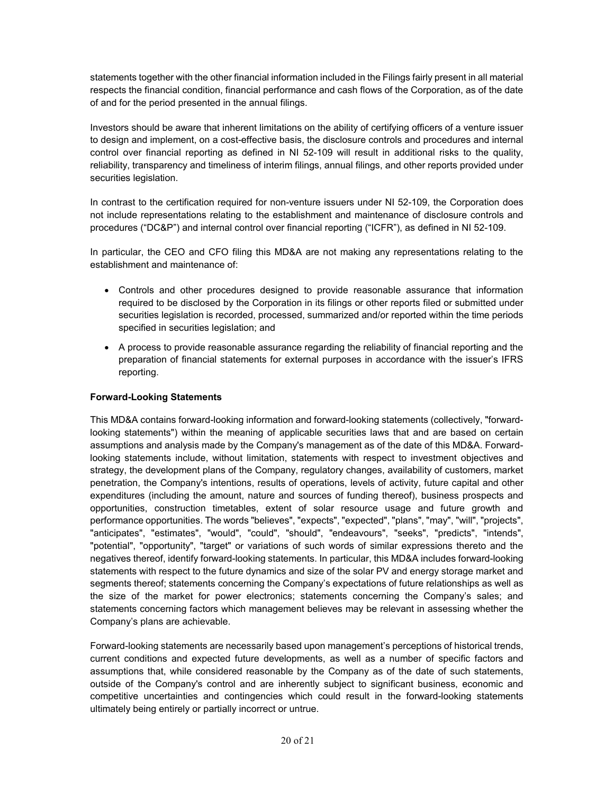statements together with the other financial information included in the Filings fairly present in all material respects the financial condition, financial performance and cash flows of the Corporation, as of the date of and for the period presented in the annual filings.

Investors should be aware that inherent limitations on the ability of certifying officers of a venture issuer to design and implement, on a cost-effective basis, the disclosure controls and procedures and internal control over financial reporting as defined in NI 52-109 will result in additional risks to the quality, reliability, transparency and timeliness of interim filings, annual filings, and other reports provided under securities legislation.

In contrast to the certification required for non-venture issuers under NI 52-109, the Corporation does not include representations relating to the establishment and maintenance of disclosure controls and procedures ("DC&P") and internal control over financial reporting ("ICFR"), as defined in NI 52-109.

In particular, the CEO and CFO filing this MD&A are not making any representations relating to the establishment and maintenance of:

- Controls and other procedures designed to provide reasonable assurance that information required to be disclosed by the Corporation in its filings or other reports filed or submitted under securities legislation is recorded, processed, summarized and/or reported within the time periods specified in securities legislation; and
- A process to provide reasonable assurance regarding the reliability of financial reporting and the preparation of financial statements for external purposes in accordance with the issuer's IFRS reporting.

# **Forward-Looking Statements**

This MD&A contains forward-looking information and forward-looking statements (collectively, "forwardlooking statements") within the meaning of applicable securities laws that and are based on certain assumptions and analysis made by the Company's management as of the date of this MD&A. Forwardlooking statements include, without limitation, statements with respect to investment objectives and strategy, the development plans of the Company, regulatory changes, availability of customers, market penetration, the Company's intentions, results of operations, levels of activity, future capital and other expenditures (including the amount, nature and sources of funding thereof), business prospects and opportunities, construction timetables, extent of solar resource usage and future growth and performance opportunities. The words "believes", "expects", "expected", "plans", "may", "will", "projects", "anticipates", "estimates", "would", "could", "should", "endeavours", "seeks", "predicts", "intends", "potential", "opportunity", "target" or variations of such words of similar expressions thereto and the negatives thereof, identify forward-looking statements. In particular, this MD&A includes forward-looking statements with respect to the future dynamics and size of the solar PV and energy storage market and segments thereof; statements concerning the Company's expectations of future relationships as well as the size of the market for power electronics; statements concerning the Company's sales; and statements concerning factors which management believes may be relevant in assessing whether the Company's plans are achievable.

Forward-looking statements are necessarily based upon management's perceptions of historical trends, current conditions and expected future developments, as well as a number of specific factors and assumptions that, while considered reasonable by the Company as of the date of such statements, outside of the Company's control and are inherently subject to significant business, economic and competitive uncertainties and contingencies which could result in the forward-looking statements ultimately being entirely or partially incorrect or untrue.